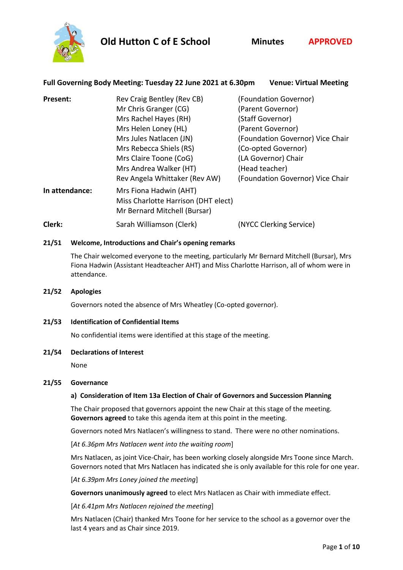





## **Full Governing Body Meeting: Tuesday 22 June 2021 at 6.30pm Venue: Virtual Meeting**

| Present:       | Rev Craig Bentley (Rev CB)                                                                    | (Foundation Governor)            |
|----------------|-----------------------------------------------------------------------------------------------|----------------------------------|
|                | Mr Chris Granger (CG)                                                                         | (Parent Governor)                |
|                | Mrs Rachel Hayes (RH)                                                                         | (Staff Governor)                 |
|                | Mrs Helen Loney (HL)                                                                          | (Parent Governor)                |
|                | Mrs Jules Natlacen (JN)                                                                       | (Foundation Governor) Vice Chair |
|                | Mrs Rebecca Shiels (RS)                                                                       | (Co-opted Governor)              |
|                | Mrs Claire Toone (CoG)                                                                        | (LA Governor) Chair              |
|                | Mrs Andrea Walker (HT)                                                                        | (Head teacher)                   |
|                | Rev Angela Whittaker (Rev AW)                                                                 | (Foundation Governor) Vice Chair |
| In attendance: | Mrs Fiona Hadwin (AHT)<br>Miss Charlotte Harrison (DHT elect)<br>Mr Bernard Mitchell (Bursar) |                                  |
| Clerk:         | Sarah Williamson (Clerk)                                                                      | (NYCC Clerking Service)          |

## **21/51 Welcome, Introductions and Chair's opening remarks**

The Chair welcomed everyone to the meeting, particularly Mr Bernard Mitchell (Bursar), Mrs Fiona Hadwin (Assistant Headteacher AHT) and Miss Charlotte Harrison, all of whom were in attendance.

**21/52 Apologies**

Governors noted the absence of Mrs Wheatley (Co-opted governor).

### **21/53 Identification of Confidential Items**

No confidential items were identified at this stage of the meeting.

### **21/54 Declarations of Interest**

None

### **21/55 Governance**

## **a) Consideration of Item 13a Election of Chair of Governors and Succession Planning**

The Chair proposed that governors appoint the new Chair at this stage of the meeting. **Governors agreed** to take this agenda item at this point in the meeting.

Governors noted Mrs Natlacen's willingness to stand. There were no other nominations.

[*At 6.36pm Mrs Natlacen went into the waiting room*]

Mrs Natlacen, as joint Vice-Chair, has been working closely alongside Mrs Toone since March. Governors noted that Mrs Natlacen has indicated she is only available for this role for one year.

[*At 6.39pm Mrs Loney joined the meeting*]

**Governors unanimously agreed** to elect Mrs Natlacen as Chair with immediate effect.

[*At 6.41pm Mrs Natlacen rejoined the meeting*]

Mrs Natlacen (Chair) thanked Mrs Toone for her service to the school as a governor over the last 4 years and as Chair since 2019.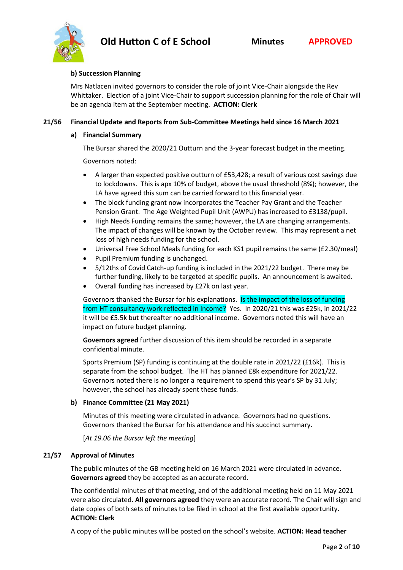

#### **b) Succession Planning**

Mrs Natlacen invited governors to consider the role of joint Vice-Chair alongside the Rev Whittaker. Election of a joint Vice-Chair to support succession planning for the role of Chair will be an agenda item at the September meeting. **ACTION: Clerk**

### **21/56 Financial Update and Reports from Sub-Committee Meetings held since 16 March 2021**

#### **a) Financial Summary**

The Bursar shared the 2020/21 Outturn and the 3-year forecast budget in the meeting.

Governors noted:

- A larger than expected positive outturn of £53,428; a result of various cost savings due to lockdowns. This is apx 10% of budget, above the usual threshold (8%); however, the LA have agreed this sum can be carried forward to this financial year.
- The block funding grant now incorporates the Teacher Pay Grant and the Teacher Pension Grant. The Age Weighted Pupil Unit (AWPU) has increased to £3138/pupil.
- High Needs Funding remains the same; however, the LA are changing arrangements. The impact of changes will be known by the October review. This may represent a net loss of high needs funding for the school.
- Universal Free School Meals funding for each KS1 pupil remains the same (£2.30/meal)
- Pupil Premium funding is unchanged.
- 5/12ths of Covid Catch-up funding is included in the 2021/22 budget. There may be further funding, likely to be targeted at specific pupils. An announcement is awaited.
- Overall funding has increased by £27k on last year.

Governors thanked the Bursar for his explanations. Is the impact of the loss of funding from HT consultancy work reflected in Income? Yes. In 2020/21 this was £25k, in 2021/22 it will be £5.5k but thereafter no additional income. Governors noted this will have an impact on future budget planning.

**Governors agreed** further discussion of this item should be recorded in a separate confidential minute.

Sports Premium (SP) funding is continuing at the double rate in 2021/22 (£16k). This is separate from the school budget. The HT has planned £8k expenditure for 2021/22. Governors noted there is no longer a requirement to spend this year's SP by 31 July; however, the school has already spent these funds.

### **b) Finance Committee (21 May 2021)**

Minutes of this meeting were circulated in advance. Governors had no questions. Governors thanked the Bursar for his attendance and his succinct summary.

[*At 19.06 the Bursar left the meeting*]

### **21/57 Approval of Minutes**

The public minutes of the GB meeting held on 16 March 2021 were circulated in advance. **Governors agreed** they be accepted as an accurate record.

The confidential minutes of that meeting, and of the additional meeting held on 11 May 2021 were also circulated. **All governors agreed** they were an accurate record. The Chair will sign and date copies of both sets of minutes to be filed in school at the first available opportunity. **ACTION: Clerk**

A copy of the public minutes will be posted on the school's website. **ACTION: Head teacher**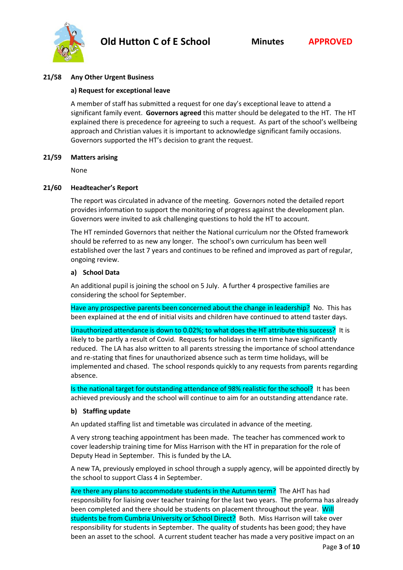

#### **21/58 Any Other Urgent Business**

#### **a) Request for exceptional leave**

A member of staff has submitted a request for one day's exceptional leave to attend a significant family event. **Governors agreed** this matter should be delegated to the HT. The HT explained there is precedence for agreeing to such a request. As part of the school's wellbeing approach and Christian values it is important to acknowledge significant family occasions. Governors supported the HT's decision to grant the request.

#### **21/59 Matters arising**

None

#### **21/60 Headteacher's Report**

The report was circulated in advance of the meeting. Governors noted the detailed report provides information to support the monitoring of progress against the development plan. Governors were invited to ask challenging questions to hold the HT to account.

The HT reminded Governors that neither the National curriculum nor the Ofsted framework should be referred to as new any longer. The school's own curriculum has been well established over the last 7 years and continues to be refined and improved as part of regular, ongoing review.

#### **a) School Data**

An additional pupil is joining the school on 5 July. A further 4 prospective families are considering the school for September.

Have any prospective parents been concerned about the change in leadership? No. This has been explained at the end of initial visits and children have continued to attend taster days.

Unauthorized attendance is down to 0.02%; to what does the HT attribute this success? It is likely to be partly a result of Covid. Requests for holidays in term time have significantly reduced. The LA has also written to all parents stressing the importance of school attendance and re-stating that fines for unauthorized absence such as term time holidays, will be implemented and chased. The school responds quickly to any requests from parents regarding absence.

Is the national target for outstanding attendance of 98% realistic for the school? It has been achieved previously and the school will continue to aim for an outstanding attendance rate.

### **b) Staffing update**

An updated staffing list and timetable was circulated in advance of the meeting.

A very strong teaching appointment has been made. The teacher has commenced work to cover leadership training time for Miss Harrison with the HT in preparation for the role of Deputy Head in September. This is funded by the LA.

A new TA, previously employed in school through a supply agency, will be appointed directly by the school to support Class 4 in September.

Are there any plans to accommodate students in the Autumn term? The AHT has had responsibility for liaising over teacher training for the last two years. The proforma has already been completed and there should be students on placement throughout the year. Will students be from Cumbria University or School Direct? Both. Miss Harrison will take over responsibility for students in September. The quality of students has been good; they have been an asset to the school. A current student teacher has made a very positive impact on an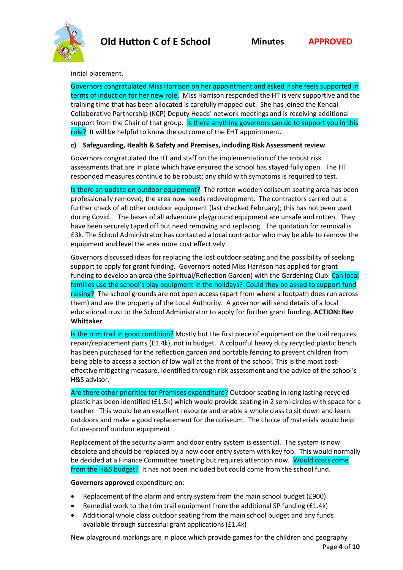

#### initial placement.

Governors congratulated Miss Harrison on her appointment and asked if she feels supported in terms of induction for her new role. Miss Harrison responded the HT is very supportive and the training time that has been allocated is carefully mapped out. She has joined the Kendal Collaborative Partnership (KCP) Deputy Heads' network meetings and is receiving additional support from the Chair of that group. Is there anything governors can do to support you in this role? It will be helpful to know the outcome of the EHT appointment.

## **c) Safeguarding, Health & Safety and Premises, including Risk Assessment review**

Governors congratulated the HT and staff on the implementation of the robust risk assessments that are in place which have ensured the school has stayed fully open. The HT responded measures continue to be robust; any child with symptoms is required to test.

Is there an update on outdoor equipment? The rotten wooden coliseum seating area has been professionally removed; the area now needs redevelopment. The contractors carried out a further check of all other outdoor equipment (last checked February); this has not been used during Covid. The bases of all adventure playground equipment are unsafe and rotten. They have been securely taped off but need removing and replacing. The quotation for removal is £3k. The School Administrator has contacted a local contractor who may be able to remove the equipment and level the area more cost effectively.

Governors discussed ideas for replacing the lost outdoor seating and the possibility of seeking support to apply for grant funding. Governors noted Miss Harrison has applied for grant funding to develop an area (the Spiritual/Reflection Garden) with the Gardening Club. Can local families use the school's play equipment in the holidays? Could they be asked to support fund raising? The school grounds are not open access (apart from where a footpath does run across them) and are the property of the Local Authority. A governor will send details of a local educational trust to the School Administrator to apply for further grant funding. **ACTION: Rev Whittaker**

Is the trim trail in good condition? Mostly but the first piece of equipment on the trail requires repair/replacement parts (£1.4k), not in budget. A colourful heavy duty recycled plastic bench has been purchased for the reflection garden and portable fencing to prevent children from being able to access a section of low wall at the front of the school. This is the most costeffective mitigating measure, identified through risk assessment and the advice of the school's H&S advisor.

Are there other priorities for Premises expenditure? Outdoor seating in long lasting recycled plastic has been identified (£1.5k) which would provide seating in 2 semi-circles with space for a teacher. This would be an excellent resource and enable a whole class to sit down and learn outdoors and make a good replacement for the coliseum. The choice of materials would help future-proof outdoor equipment.

Replacement of the security alarm and door entry system is essential. The system is now obsolete and should be replaced by a new door entry system with key fob. This would normally be decided at a Finance Committee meeting but requires attention now. Would costs come from the H&S budget? It has not been included but could come from the school fund.

**Governors approved** expenditure on:

- Replacement of the alarm and entry system from the main school budget (£900).
- Remedial work to the trim trail equipment from the additional SP funding (£1.4k)
- Additional whole class outdoor seating from the main school budget and any funds available through successful grant applications (£1.4k)

New playground markings are in place which provide games for the children and geography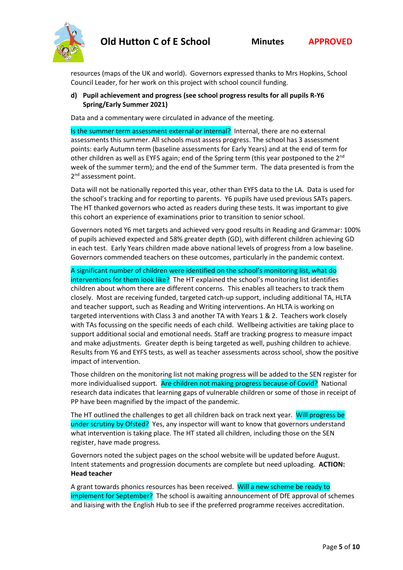

resources (maps of the UK and world). Governors expressed thanks to Mrs Hopkins, School Council Leader, for her work on this project with school council funding.

## **d) Pupil achievement and progress (see school progress results for all pupils R-Y6 Spring/Early Summer 2021)**

Data and a commentary were circulated in advance of the meeting.

Is the summer term assessment external or internal? Internal, there are no external assessments this summer. All schools must assess progress. The school has 3 assessment points: early Autumn term (baseline assessments for Early Years) and at the end of term for other children as well as EYFS again; end of the Spring term (this year postponed to the 2<sup>nd</sup> week of the summer term); and the end of the Summer term. The data presented is from the 2<sup>nd</sup> assessment point.

Data will not be nationally reported this year, other than EYFS data to the LA. Data is used for the school's tracking and for reporting to parents. Y6 pupils have used previous SATs papers. The HT thanked governors who acted as readers during these tests. It was important to give this cohort an experience of examinations prior to transition to senior school.

Governors noted Y6 met targets and achieved very good results in Reading and Grammar: 100% of pupils achieved expected and 58% greater depth (GD), with different children achieving GD in each test. Early Years children made above national levels of progress from a low baseline. Governors commended teachers on these outcomes, particularly in the pandemic context.

A significant number of children were identified on the school's monitoring list, what do

interventions for them look like? The HT explained the school's monitoring list identifies children about whom there are different concerns. This enables all teachers to track them closely. Most are receiving funded, targeted catch-up support, including additional TA, HLTA and teacher support, such as Reading and Writing interventions. An HLTA is working on targeted interventions with Class 3 and another TA with Years 1 & 2. Teachers work closely with TAs focussing on the specific needs of each child. Wellbeing activities are taking place to support additional social and emotional needs. Staff are tracking progress to measure impact and make adjustments. Greater depth is being targeted as well, pushing children to achieve. Results from Y6 and EYFS tests, as well as teacher assessments across school, show the positive impact of intervention.

Those children on the monitoring list not making progress will be added to the SEN register for more individualised support. Are children not making progress because of Covid? National research data indicates that learning gaps of vulnerable children or some of those in receipt of PP have been magnified by the impact of the pandemic.

The HT outlined the challenges to get all children back on track next year. Will progress be under scrutiny by Ofsted? Yes, any inspector will want to know that governors understand what intervention is taking place. The HT stated all children, including those on the SEN register, have made progress.

Governors noted the subject pages on the school website will be updated before August. Intent statements and progression documents are complete but need uploading. **ACTION: Head teacher**

A grant towards phonics resources has been received. Will a new scheme be ready to implement for September? The school is awaiting announcement of DfE approval of schemes and liaising with the English Hub to see if the preferred programme receives accreditation.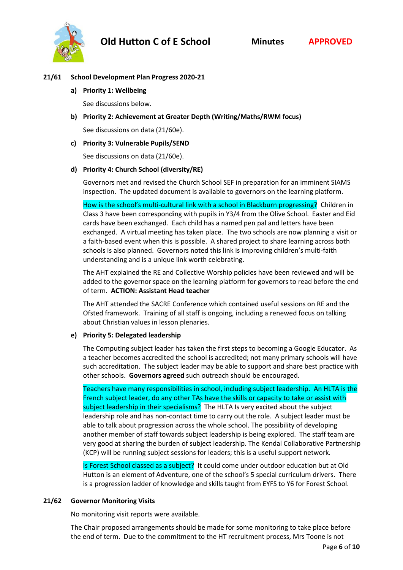

## **21/61 School Development Plan Progress 2020-21**

**a) Priority 1: Wellbeing**

See discussions below.

**b) Priority 2: Achievement at Greater Depth (Writing/Maths/RWM focus)**

See discussions on data (21/60e).

### **c) Priority 3: Vulnerable Pupils/SEND**

See discussions on data (21/60e).

## **d) Priority 4: Church School (diversity/RE)**

Governors met and revised the Church School SEF in preparation for an imminent SIAMS inspection. The updated document is available to governors on the learning platform.

How is the school's multi-cultural link with a school in Blackburn progressing? Children in Class 3 have been corresponding with pupils in Y3/4 from the Olive School. Easter and Eid cards have been exchanged. Each child has a named pen pal and letters have been exchanged. A virtual meeting has taken place. The two schools are now planning a visit or a faith-based event when this is possible. A shared project to share learning across both schools is also planned. Governors noted this link is improving children's multi-faith understanding and is a unique link worth celebrating.

The AHT explained the RE and Collective Worship policies have been reviewed and will be added to the governor space on the learning platform for governors to read before the end of term. **ACTION: Assistant Head teacher**

The AHT attended the SACRE Conference which contained useful sessions on RE and the Ofsted framework. Training of all staff is ongoing, including a renewed focus on talking about Christian values in lesson plenaries.

## **e) Priority 5: Delegated leadership**

The Computing subject leader has taken the first steps to becoming a Google Educator. As a teacher becomes accredited the school is accredited; not many primary schools will have such accreditation. The subject leader may be able to support and share best practice with other schools. **Governors agreed** such outreach should be encouraged.

Teachers have many responsibilities in school, including subject leadership. An HLTA is the French subject leader, do any other TAs have the skills or capacity to take or assist with subject leadership in their specialisms? The HLTA Is very excited about the subject leadership role and has non-contact time to carry out the role. A subject leader must be able to talk about progression across the whole school. The possibility of developing another member of staff towards subject leadership is being explored. The staff team are very good at sharing the burden of subject leadership. The Kendal Collaborative Partnership (KCP) will be running subject sessions for leaders; this is a useful support network.

Is Forest School classed as a subject? It could come under outdoor education but at Old Hutton is an element of Adventure, one of the school's 5 special curriculum drivers. There is a progression ladder of knowledge and skills taught from EYFS to Y6 for Forest School.

### **21/62 Governor Monitoring Visits**

No monitoring visit reports were available.

The Chair proposed arrangements should be made for some monitoring to take place before the end of term. Due to the commitment to the HT recruitment process, Mrs Toone is not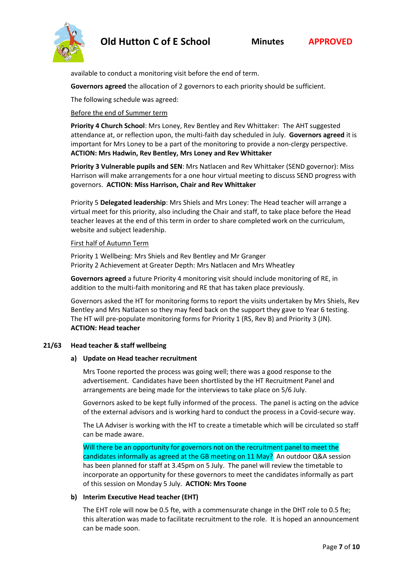

available to conduct a monitoring visit before the end of term.

**Governors agreed** the allocation of 2 governors to each priority should be sufficient.

The following schedule was agreed:

## Before the end of Summer term

**Priority 4 Church School**: Mrs Loney, Rev Bentley and Rev Whittaker: The AHT suggested attendance at, or reflection upon, the multi-faith day scheduled in July. **Governors agreed** it is important for Mrs Loney to be a part of the monitoring to provide a non-clergy perspective. **ACTION: Mrs Hadwin, Rev Bentley, Mrs Loney and Rev Whittaker**

**Priority 3 Vulnerable pupils and SEN**: Mrs Natlacen and Rev Whittaker (SEND governor): Miss Harrison will make arrangements for a one hour virtual meeting to discuss SEND progress with governors. **ACTION: Miss Harrison, Chair and Rev Whittaker**

Priority 5 **Delegated leadership**: Mrs Shiels and Mrs Loney: The Head teacher will arrange a virtual meet for this priority, also including the Chair and staff, to take place before the Head teacher leaves at the end of this term in order to share completed work on the curriculum, website and subject leadership.

### First half of Autumn Term

Priority 1 Wellbeing: Mrs Shiels and Rev Bentley and Mr Granger Priority 2 Achievement at Greater Depth: Mrs Natlacen and Mrs Wheatley

**Governors agreed** a future Priority 4 monitoring visit should include monitoring of RE, in addition to the multi-faith monitoring and RE that has taken place previously.

Governors asked the HT for monitoring forms to report the visits undertaken by Mrs Shiels, Rev Bentley and Mrs Natlacen so they may feed back on the support they gave to Year 6 testing. The HT will pre-populate monitoring forms for Priority 1 (RS, Rev B) and Priority 3 (JN). **ACTION: Head teacher**

### **21/63 Head teacher & staff wellbeing**

### **a) Update on Head teacher recruitment**

Mrs Toone reported the process was going well; there was a good response to the advertisement. Candidates have been shortlisted by the HT Recruitment Panel and arrangements are being made for the interviews to take place on 5/6 July.

Governors asked to be kept fully informed of the process. The panel is acting on the advice of the external advisors and is working hard to conduct the process in a Covid-secure way.

The LA Adviser is working with the HT to create a timetable which will be circulated so staff can be made aware.

Will there be an opportunity for governors not on the recruitment panel to meet the candidates informally as agreed at the GB meeting on 11 May? An outdoor Q&A session has been planned for staff at 3.45pm on 5 July. The panel will review the timetable to incorporate an opportunity for these governors to meet the candidates informally as part of this session on Monday 5 July. **ACTION: Mrs Toone**

### **b) Interim Executive Head teacher (EHT)**

The EHT role will now be 0.5 fte, with a commensurate change in the DHT role to 0.5 fte; this alteration was made to facilitate recruitment to the role. It is hoped an announcement can be made soon.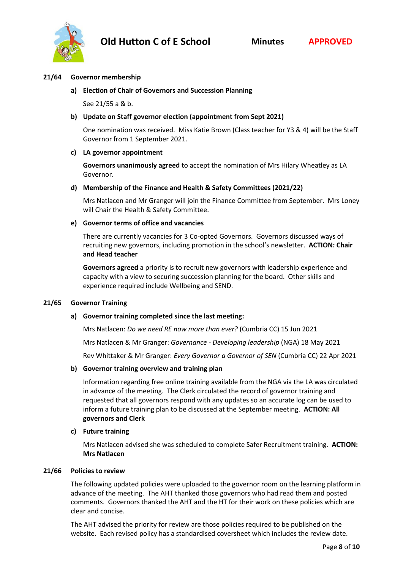

### **21/64 Governor membership**

**a) Election of Chair of Governors and Succession Planning**

See 21/55 a & b.

## **b) Update on Staff governor election (appointment from Sept 2021)**

One nomination was received. Miss Katie Brown (Class teacher for Y3 & 4) will be the Staff Governor from 1 September 2021.

### **c) LA governor appointment**

**Governors unanimously agreed** to accept the nomination of Mrs Hilary Wheatley as LA Governor.

### **d) Membership of the Finance and Health & Safety Committees (2021/22)**

Mrs Natlacen and Mr Granger will join the Finance Committee from September. Mrs Loney will Chair the Health & Safety Committee.

#### **e) Governor terms of office and vacancies**

There are currently vacancies for 3 Co-opted Governors. Governors discussed ways of recruiting new governors, including promotion in the school's newsletter. **ACTION: Chair and Head teacher**

**Governors agreed** a priority is to recruit new governors with leadership experience and capacity with a view to securing succession planning for the board. Other skills and experience required include Wellbeing and SEND.

### **21/65 Governor Training**

### **a) Governor training completed since the last meeting:**

Mrs Natlacen: *Do we need RE now more than ever?* (Cumbria CC) 15 Jun 2021

Mrs Natlacen & Mr Granger: *Governance - Developing leadership* (NGA) 18 May 2021

Rev Whittaker & Mr Granger: *Every Governor a Governor of SEN* (Cumbria CC) 22 Apr 2021

### **b) Governor training overview and training plan**

Information regarding free online training available from the NGA via the LA was circulated in advance of the meeting. The Clerk circulated the record of governor training and requested that all governors respond with any updates so an accurate log can be used to inform a future training plan to be discussed at the September meeting. **ACTION: All governors and Clerk**

### **c) Future training**

Mrs Natlacen advised she was scheduled to complete Safer Recruitment training. **ACTION: Mrs Natlacen**

#### **21/66 Policies to review**

The following updated policies were uploaded to the governor room on the learning platform in advance of the meeting. The AHT thanked those governors who had read them and posted comments. Governors thanked the AHT and the HT for their work on these policies which are clear and concise.

The AHT advised the priority for review are those policies required to be published on the website. Each revised policy has a standardised coversheet which includes the review date.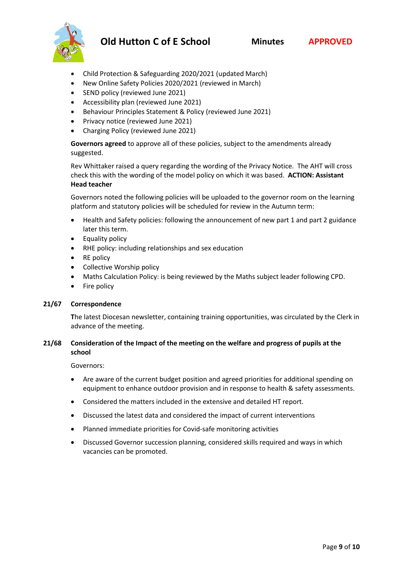

- Child Protection & Safeguarding 2020/2021 (updated March)
- New Online Safety Policies 2020/2021 (reviewed in March)
- SEND policy (reviewed June 2021)
- Accessibility plan (reviewed June 2021)
- Behaviour Principles Statement & Policy (reviewed June 2021)
- Privacy notice (reviewed June 2021)
- Charging Policy (reviewed June 2021)

**Governors agreed** to approve all of these policies, subject to the amendments already suggested.

Rev Whittaker raised a query regarding the wording of the Privacy Notice. The AHT will cross check this with the wording of the model policy on which it was based. **ACTION: Assistant Head teacher**

Governors noted the following policies will be uploaded to the governor room on the learning platform and statutory policies will be scheduled for review in the Autumn term:

- Health and Safety policies: following the announcement of new part 1 and part 2 guidance later this term.
- Equality policy
- RHE policy: including relationships and sex education
- RE policy
- Collective Worship policy
- Maths Calculation Policy: is being reviewed by the Maths subject leader following CPD.
- Fire policy

### **21/67 Correspondence**

**T**he latest Diocesan newsletter, containing training opportunities, was circulated by the Clerk in advance of the meeting.

### **21/68 Consideration of the Impact of the meeting on the welfare and progress of pupils at the school**

Governors:

- Are aware of the current budget position and agreed priorities for additional spending on equipment to enhance outdoor provision and in response to health & safety assessments.
- Considered the matters included in the extensive and detailed HT report.
- Discussed the latest data and considered the impact of current interventions
- Planned immediate priorities for Covid-safe monitoring activities
- Discussed Governor succession planning, considered skills required and ways in which vacancies can be promoted.